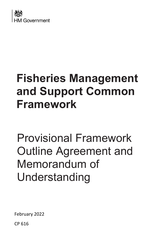

# **Fisheries Management and Support Common Framework**

Provisional Framework Outline Agreement and Memorandum of Understanding

February 2022

CP 616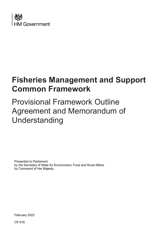

# **Fisheries Management and Support Common Framework**

# Provisional Framework Outline Agreement and Memorandum of Understanding

Presented to Parliament by the Secretary of State for Environment, Food and Rural Affairs by Command of Her Majesty

February 2022

CP 616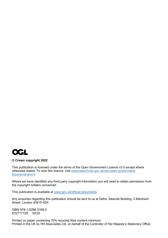

#### **© Crown copyright 2022**

This publication is licensed under the terms of the Open Government Licence v3.0 except where otherwise stated. To view this licence, visit [nationalarchives.gov.uk/doc/open-government](http://nationalarchives.gov.uk/doc/open-government-licence/version/3/)[licence/version/3](http://nationalarchives.gov.uk/doc/open-government-licence/version/3/)

Where we have identified any third party copyright information you will need to obtain permission from the copyright holders concerned.

This publication is available at [www.gov.uk/official-documents](http://www.gov.uk/official-documents)

Any enquiries regarding this publication should be sent to us at Defra, Seacole Building, 2 Marsham Street, London SW1P 4DF.

ISBN 978-1-5286-3169-3 E02717128 02/22

Printed on paper containing 75% recycled fibre content minimum Printed in the UK by HH Associates Ltd. on behalf of the Controller of Her Majesty's Stationery Office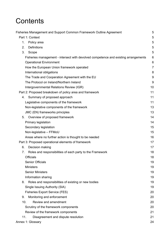# **Contents**

| Fisheries Management and Support Common Framework Outline Agreement                 | 5               |
|-------------------------------------------------------------------------------------|-----------------|
| Part 1: Context                                                                     | 5               |
| 1.<br>Policy area                                                                   | 5               |
| <b>Definitions</b><br>2.                                                            | 5               |
| 3.<br>Scope                                                                         | 5               |
| Fisheries management - intersect with devolved competence and existing arrangements | 6               |
| <b>Operational Environment</b>                                                      | $6\phantom{1}6$ |
| How the European Union framework operated                                           | $\overline{7}$  |
| International obligations                                                           | 8               |
| The Trade and Cooperation Agreement with the EU                                     | 9               |
| The Protocol on Ireland/Northern Ireland                                            | 9               |
| Intergovernmental Relations Review (IGR)                                            | 10              |
| Part 2: Proposed breakdown of policy area and framework                             | 11              |
| Summary of proposed approach<br>4.                                                  | 11              |
| Legislative components of the framework                                             | 11              |
| Non-legislative components of the framework                                         | 13              |
| JMC (EN) frameworks principles                                                      | 13              |
| Overview of proposed framework<br>5.                                                | 14              |
| Primary legislation                                                                 | 14              |
| Secondary legislation                                                               | 15              |
| Non-legislative - FFMoU                                                             | 15              |
| Areas where no further action is thought to be needed                               | 16              |
| Part 3: Proposed operational elements of framework                                  | 17              |
| Decision making<br>6.                                                               | 17              |
| Roles and responsibilities of each party to the Framework<br>7.                     | 18              |
| <b>Officials</b>                                                                    | 18              |
| <b>Senior Officials</b>                                                             | 19              |
| <b>Ministers</b>                                                                    | 19              |
| <b>Senior Ministers</b>                                                             | 19              |
| Information sharing                                                                 | 19              |
| 8.<br>Roles and responsibilities of existing or new bodies                          | 19              |
| Single Issuing Authority (SIA)                                                      | 19              |
| <b>Fisheries Export Service (FES)</b>                                               | 20              |
| Monitoring and enforcement<br>9.                                                    | 20              |
| 10.<br>Review and amendment                                                         | 20              |
| Scrutiny of the framework components                                                | 20              |
| Review of the framework components                                                  | 21              |
| 11.<br>Disagreement and dispute resolution                                          | 21              |
| Annex 1: Glossary                                                                   | 24              |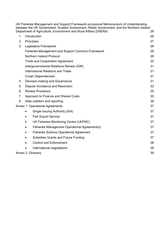|                                        | UK Fisheries Management and Support Framework provisional Memorandum of Understanding<br>between the UK Government, Scottish Government, Welsh Government, and the Northern Ireland |    |  |  |  |
|----------------------------------------|-------------------------------------------------------------------------------------------------------------------------------------------------------------------------------------|----|--|--|--|
|                                        | Department of Agriculture, Environment and Rural Affairs (DAERA)                                                                                                                    | 26 |  |  |  |
| 1.                                     | Introduction                                                                                                                                                                        | 26 |  |  |  |
| 2.                                     | Principles                                                                                                                                                                          | 27 |  |  |  |
| 3.                                     | Legislative Framework                                                                                                                                                               | 28 |  |  |  |
|                                        | <b>Fisheries Management and Support Common Framework</b>                                                                                                                            | 28 |  |  |  |
|                                        | Northern Ireland Protocol                                                                                                                                                           | 29 |  |  |  |
|                                        | <b>Trade and Cooperation Agreement</b>                                                                                                                                              | 30 |  |  |  |
|                                        | Intergovernmental Relations Review (IGR)                                                                                                                                            | 31 |  |  |  |
|                                        | International Relations and Trade                                                                                                                                                   | 31 |  |  |  |
|                                        | <b>Crown Dependencies</b>                                                                                                                                                           | 31 |  |  |  |
| 4.                                     | Decision-making and Governance                                                                                                                                                      |    |  |  |  |
| 5.<br>Dispute Avoidance and Resolution |                                                                                                                                                                                     |    |  |  |  |
| 6.                                     | <b>Review Provisions</b>                                                                                                                                                            |    |  |  |  |
| 7.                                     | Approach to Finance and Shared Costs                                                                                                                                                |    |  |  |  |
| 8.                                     | 36<br>Data collation and reporting                                                                                                                                                  |    |  |  |  |
|                                        | Annex 1: Operational Agreements                                                                                                                                                     | 37 |  |  |  |
|                                        | Single Issuing Authority (SIA)<br>$\bullet$                                                                                                                                         | 37 |  |  |  |
|                                        | <b>Fish Export Service</b><br>$\bullet$                                                                                                                                             | 37 |  |  |  |
|                                        | UK Fisheries Monitoring Centre (UKFMC)                                                                                                                                              | 37 |  |  |  |
|                                        | Fisheries Management Operational Agreement(s)                                                                                                                                       | 37 |  |  |  |
|                                        | <b>Fisheries Science Operational Agreement</b>                                                                                                                                      | 37 |  |  |  |
|                                        | Subsidies Grants and Future Funding<br>$\bullet$                                                                                                                                    | 37 |  |  |  |
|                                        | <b>Control and Enforcement</b>                                                                                                                                                      | 38 |  |  |  |
|                                        | International negotiations                                                                                                                                                          | 38 |  |  |  |
|                                        | Annex 2: Glossary                                                                                                                                                                   | 39 |  |  |  |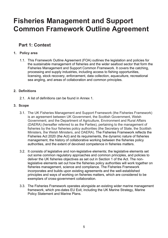# <span id="page-5-0"></span>**Fisheries Management and Support Common Framework Outline Agreement**

### <span id="page-5-1"></span>**Part 1: Context**

#### <span id="page-5-2"></span>**1. Policy area**

1.1. This Framework Outline Agreement (FOA) outlines the legislation and policies for the sustainable management of fisheries and the wider seafood sector that form the Fisheries Management and Support Common Framework. It covers the catching, processing and supply industries, including access to fishing opportunities, licensing, stock recovery, enforcement, data collection, aquaculture, recreational sea angling, and areas of collaboration and common principles.

#### <span id="page-5-3"></span>**2. Definitions**

2.1. A list of definitions can be found in Annex 1.

#### <span id="page-5-4"></span>**3. Scope**

- 3.1. The UK Fisheries Management and Support Framework (the Fisheries Framework) is an agreement between UK Government, the Scottish Government, Welsh Government, and the Department of Agriculture, Environment and Rural Affairs (DAERA) (hereafter referred to as the Parties), pertaining to the management of fisheries by the four fisheries policy authorities (the Secretary of State, the Scottish Ministers, the Welsh Ministers, and DAERA). The Fisheries Framework reflects the Fisheries Act 2020 (the Act) and its requirements, the dynamic nature of fisheries management, the history of collaborative working between the fisheries policy authorities, and the extent of devolved competence in fisheries matters.
- 3.2. It consists of legislative and non-legislative elements; the legislative elements set out some common regulatory approaches and common principles, and policies to deliver the UK fisheries objectives as set out in Section 1 of the Act. The nonlegislative elements set out how the fisheries policy authorities will work together on fisheries management, science and compliance. The Fisheries Framework incorporates and builds upon existing agreements and the well-established principles and ways of working on fisheries matters, which are considered to be exemplars of cross-government collaboration.
- 3.3. The Fisheries Framework operates alongside an existing wider marine management framework, which pre-dates EU Exit, including the UK Marine Strategy, Marine Policy Statement and Marine Plans.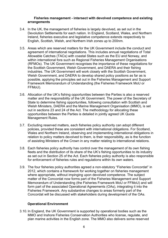#### <span id="page-6-0"></span> **Fisheries management - intersect with devolved competence and existing arrangements**

- 3.4. In the UK, the management of fisheries is largely devolved, as set out in the Devolution Settlements for each nation. In England, Scotland, Wales, and Northern Ireland, fisheries executive and legislative competence extends respectively to English, Scottish, Welsh, and Northern Irish zones up to 200nm.
- 3.5. Areas which are reserved matters for the UK Government include the conduct and agreement of international negotiations. This includes annual negotiations of Total Allowable Catches (TACs) with coastal States such as the EU and Norway, and within international fora such as Regional Fisheries Management Organisations (RFMOs). The UK Government recognises the importance of these negotiations for the Scottish Government, Welsh Government, and DAERA and their fishing industries. The UK Government will work closely with the Scottish Government, Welsh Government, and DAERA to develop shared policy positions as far as is possible, applying the principles set out in the Fisheries Management and Support Framework Memorandum of Understanding (the Fisheries Framework MoU or FFMoU).
- 3.6. Allocation of the UK's fishing opportunities between the Parties is also a reserved matter and the responsibility of the UK Government. The power of the Secretary of State to determine fishing opportunities, following consultation with Scottish and Welsh Ministers, DAERA and the Marine Management Organisation (MMO), is set out in sections 23 and 24 of the Act. The methodology for allocating these opportunities between the Parties is detailed in jointly agreed UK Quota Management Rules.
- 3.7. Excluding reserved matters, each fisheries policy authority can adopt different policies, provided these are consistent with international obligations. For Scotland, Wales and Northern Ireland, observing and implementing international obligations in relation to policy matters devolved to them, is their responsibility, as is the function of assisting Ministers of the Crown in any matter relating to international relations.
- 3.8. Each fisheries policy authority has control over the management of its own fishing fleets and the distribution of its share of the UK's fishing opportunities to its industry as set out in Section 25 of the Act. Each fisheries policy authority is also responsible for enforcement of fisheries rules and regulations within its own waters.
- 3.9. The four fisheries policy authorities agreed a non-statutory "Fisheries Concordat" in 2012, which contains a framework for working together on fisheries management where appropriate, without impinging upon devolved competence. The subject matter of the Concordat now forms part of the Fisheries Management and Support Memorandum of Understanding (the Fisheries Framework MoU or FFMoU) and will form part of the associated Operational Agreements (OAs), integrating it into the Fisheries Framework. Any substantive changes to areas formerly part of the Concordat will be discussed with stakeholders during development of the OAs.

#### **Operational Environment**

<span id="page-6-1"></span>3.10. In England, the UK Government is supported by operational bodies such as the MMO and Inshore Fisheries Conservation Authorities who license, regulate, and plan marine activities in the English zone. The MMO also delivers some reserved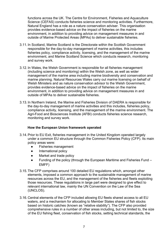functions across the UK. The Centre for Environment, Fisheries and Aquaculture Science (CEFAS) conducts fisheries science and monitoring activities. Furthermore, Natural England has a role as a nature conservation adviser. This organisation provides evidence-based advice on the impact of fisheries on the marine environment, in addition to providing advice on management measures in and outside of Marine Protected Areas (MPAs) to deliver sustainable fisheries.

- 3.11. In Scotland, Marine Scotland is the Directorate within the Scottish Government responsible for the day-to-day management of marine activities, this includes fisheries policy, compliance activity, licensing, and the management of the marine environment, and Marine Scotland Science which conducts research, monitoring and survey work.
- 3.12. In Wales, the Welsh Government is responsible for all fisheries management (including science and monitoring) within the Welsh zone, as well as wider management of the marine area including marine biodiversity and conservation and marine planning. Natural Resources Wales carry out marine licensing on behalf of Welsh Ministers and as nature conservation advisor to the Welsh Government, provides evidence-based advice on the impact of fisheries on the marine environment, in addition to providing advice on management measures in and outside of MPAs to deliver sustainable fisheries.
- 3.13. In Northern Ireland, the Marine and Fisheries Division of DAERA is responsible for the day-to-day management of marine activities and this includes, fisheries policy, compliance activity, licensing, and the management of the marine environment. The Agri-Food and Biosciences Institute (AFBI) conducts fisheries science research, monitoring and survey work.

#### **How the European Union framework operated**

- <span id="page-7-0"></span>3.14. Prior to EU Exit, fisheries management in the United Kingdom operated largely under a common EU structure through the Common Fisheries Policy (CFP). Its main policy areas were:
	- Fisheries management
	- International policy
	- Market and trade policy
	- Funding of the policy (through the European Maritime and Fisheries Fund EMFF)
- 3.15. The CFP comprises around 100 detailed EU regulations which, amongst other elements, imposed a common approach to the sustainable management of marine resources across the EU, and the management of the fisheries and fleets exploiting those resources. These regulations in large part were designed to give effect to relevant international law, mainly the UN Convention on the Law of the Sea (UNCLOS).
- 3.16. Central elements of the CFP included allowing EU fleets shared access to all EU waters, and a mechanism for allocating to Member States shares of fish stocks based on historic catches (known as "relative stability"). The CFP also provided comprehensive rules in a number of other areas including, but not limited to, the size of the EU fishing fleet, conservation of fish stocks, setting technical standards, the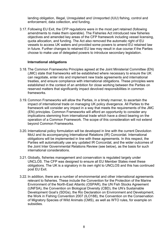landing obligation, Illegal, Unregulated and Unreported (IUU) fishing, control and enforcement, data collection, and funding.

3.17. Following EU Exit, the CFP regulations were in the most part retained (following amendments to make them operable). The Fisheries Act introduced new fisheries objectives and amended key areas of the CFP framework including vessel licensing, quota allocation, and funding. The Act also removed the automatic right of EU vessels to access UK waters and provided some powers to amend EU retained law in future. Further changes to retained EU law may result in due course if the Parties choose to make use of delegated powers to introduce secondary legislation.

#### **International obligations**

- <span id="page-8-0"></span>3.18. The Common Frameworks Principles agreed at the Joint Ministerial Committee (EN) (JMC) state that frameworks will be established where necessary to ensure the UK can negotiate, enter into and implement new trade agreements and international treaties, and ensure compliance with international obligations. These principles were established in the context of an ambition for close working between the Parties on reserved matters that significantly impact devolved responsibilities in common frameworks.
- 3.19. Common Frameworks will allow the Parties, in a timely manner, to ascertain the impact of international trade on managing UK policy divergence. All Parties to the framework will consider any impact in a way that meets the requirements of the JMC (EN) principles. Common Frameworks will afford an opportunity to consider any implications stemming from international trade which have a direct bearing on the operation of a Common Framework. The scope of this consideration will not extend beyond Common Frameworks.
- 3.20. International policy formulation will be developed in line with the current Devolution MoU and its accompanying International Relations (IR) Concordat. International obligations will be implemented in line with these agreements. In this respect, the Parties will automatically use any updated IR Concordat, and the wider outcomes of the Joint Inter Governmental Relations Review (see below), as the basis for such international considerations.
- 3.21. Globally, fisheries management and conservation is regulated largely under UNCLOS. The CFP was designed to ensure all EU Member States meet these obligations. The UK is a signatory in its own right to UNCLOS and this has continued post EU Exit.
- 3.22. In addition, there are a number of environmental and other international agreements relevant to fisheries. These include the Convention for the Protection of the Marine Environment of the North-East Atlantic (OSPAR), the UN Fish Stocks Agreement (UNFSA), the Convention on Biological Diversity (CBD), the UN's Sustainable Development Goal's (SDGs), the Rio Declaration on Environment and Development, the Work in Fishing Convention 2007 (ILO188), the Convention on the Conservation of Migratory Species of Wild Animals (CMS), as well as WTO rules, for example on subsidies*.*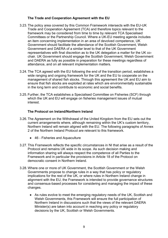#### **The Trade and Cooperation Agreement with the EU**

- <span id="page-9-0"></span>3.23. The policy area covered by this Common Framework intersects with the EU-UK Trade and Cooperation Agreement (TCA) and therefore topics relevant to the framework may be considered from time to time by relevant TCA Specialised Committees or the Partnership Council. Where a UK-EU meeting agenda includes an item concerning implementation in an area of devolved competence, UK Government should facilitate the attendance of the Scottish Government, Welsh Government and DAERA of a similar level to that of the UK Government representatives with final discretion as to the UK delegation a matter for the UK cochair. UK Government should engage the Scottish Government, Welsh Government and DAERA as fully as possible in preparation for these meetings regardless of attendance, and on all relevant implementation matters.
- 3.24. The TCA agreed with the EU following the end of the transition period, establishes a wide ranging and ongoing framework for the UK and the EU to cooperate on the management of shared fish stocks. Through this agreement the UK and EU aim to ensure that fish stocks are exploited at rates which are environmentally sustainable in the long term and contribute to economic and social benefits.
- 3.25.Further, the TCA establishes a Specialised Committee on Fisheries (SCF) through which the UK and EU will engage on fisheries management issues of mutual interest.

#### **The Protocol on Ireland/Northern Ireland**

- <span id="page-9-1"></span>3.26. The Agreement on the Withdrawal of the United Kingdom from the EU sets out the current arrangements where, although remaining within the UK's custom territory, Northern Ireland will remain aligned with the EU. The following paragraphs of Annex 2 of the Northern Ireland Protocol are relevant to this framework.
	- 46 Fisheries and Aquaculture
- 3.27. This Framework reflects the specific circumstances in NI that arise as a result of the Protocol and remains UK wide in its scope. As such decision making and information sharing will always respect the competence of all Parties to the Framework and in particular the provisions in Article 18 of the Protocol on democratic consent in Northern Ireland.
- 3.28. Where one or more of UK Government, the Scottish Government or the Welsh Governments propose to change rules in a way that has policy or regulatory implications for the rest of the UK, or where rules in Northern Ireland change in alignment with the EU, the Framework is intended to provide governance structures and consensus-based processes for considering and managing the impact of these changes.
	- As rules evolve to meet the emerging regulatory needs of the UK, Scottish and Welsh Governments, this Framework will ensure the full participation of Northern Ireland in discussions such that the views of the relevant DAERA Minister(s) are taken into account in reaching any policy or regulatory decisions by the UK, Scottish or Welsh Governments.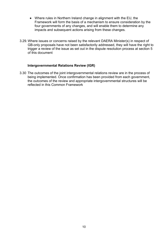- Where rules in Northern Ireland change in alignment with the EU, the Framework will form the basis of a mechanism to ensure consideration by the four governments of any changes, and will enable them to determine any impacts and subsequent actions arising from these changes.
- 3.29. Where issues or concerns raised by the relevant DAERA Minister(s) in respect of GB-only proposals have not been satisfactorily addressed, they will have the right to trigger a review of the issue as set out in the dispute resolution process at section 5 of this document

#### **Intergovernmental Relations Review (IGR)**

<span id="page-10-0"></span>3.30 The outcomes of the joint intergovernmental relations review are in the process of being implemented. Once confirmation has been provided from each government, the outcomes of the review and appropriate intergovernmental structures will be reflected in this Common Framework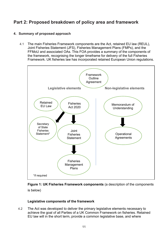# <span id="page-11-0"></span>**Part 2: Proposed breakdown of policy area and framework**

#### <span id="page-11-1"></span>**4. Summary of proposed approach**

4.1 The main Fisheries Framework components are the Act, retained EU law (REUL), Joint Fisheries Statement (JFS), Fisheries Management Plans (FMPs), and the FFMoU and associated OAs. This FOA provides a summary of the components of the framework, recognising the longer timeframe for delivery of the full Fisheries Framework. UK fisheries law has incorporated retained European Union regulations.



#### **Figure 1: UK Fisheries Framework components** (a description of the components is below)

#### **Legislative components of the framework**

<span id="page-11-2"></span>4.2 The Act was developed to deliver the primary legislative elements necessary to achieve the goal of all Parties of a UK Common Framework on fisheries. Retained EU law will in the short term, provide a common legislative base, and where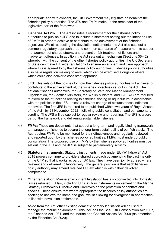appropriate and with consent, the UK Government may legislate on behalf of the fisheries policy authorities. The JFS and FMPs make up the remainder of the legislative part of the framework.

- 4.3 **Fisheries Act 2020:** The Act includes a requirement for the fisheries policy authorities to publish a JFS and to include a statement setting out the intended use of FMPs in order to achieve or contribute to the achievement of the fisheries objectives. Whilst respecting the devolution settlements, the Act also sets out a common regulatory approach around common standards of measurement to support management of shared stocks, and prevent unfair treatment of fishers and inadvertent offences. In addition, the Act sets out a mechanism (Sections 36-42) whereby, with the consent of the other fisheries policy authorities, the UK Secretary of State can make UK wide regulations to ensure an efficient and clear approach where this is agreed to by the fisheries policy authorities. Fisheries policy authorities also have regulation making powers, which can be exercised alongside others, which could also deliver a consistent approach.
- 4.4 **JFS:** This sets out the policies for how the fisheries policy authorities will achieve, or contribute to the achievement of, the fisheries objectives set out in the Act. The national fisheries authorities (the Secretary of State, the Marine Management Organisation, the Scottish Ministers, the Welsh Ministers, and DAERA) are required to exercise their functions relating to fisheries, fishing or aquaculture in accordance with the policies in the JFS, unless a relevant change of circumstances indicates otherwise. The first JFS is required to be published within two years of Royal Assent of the Act - by 23 November 2022 - following public consultation and parliamentary scrutiny. The JFS will be subject to regular review and reporting. The JFS is a core part of the framework and delivering sustainable fisheries.
- 4.5 **FMPs:** These are documents that set out a long-term and legally binding framework to manage our fisheries to secure the long-term sustainability of our fish stocks. The Act requires FMPs to be monitored for their effectiveness and regularly reviewed and reported upon by the fisheries policy authorities. FMPs must undergo public consultation. The proposed use of FMPs by the fisheries policy authorities must be set out in the JFS and the JFS is subject to parliamentary scrutiny.
- 4.6 **Statutory Instruments**: Statutory instruments made under EU (Withdrawal) Act 2018 powers continue to provide a shared approach by amending the vast majority of the CFP so that it works as part of UK law. They have been jointly agreed where relevant and delivered collaboratively. The general position is that each fisheries policy authority may amend retained EU law which is within their devolved competence.
- 4.7 **Other legislation**: Marine environment legislation has also converted into domestic law as retained EU law, including UK statutory instruments implementing the Marine Strategy Framework Directive and Directives on the protection of habitats and species. These ensure that where appropriate the fisheries policy authorities are seeking to achieve the same end goal, whilst allowing for divergence in approaches in line with devolution settlements.
- 4.8 Aside from the Act, other existing domestic primary legislation will be used to manage the marine environment. This includes the Sea Fish Conservation Act 1967, the Fisheries Act 1981, and the Marine and Coastal Access Act 2009 (as amended by the Fisheries Act 2020).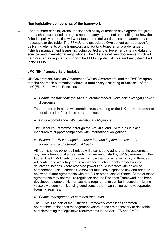#### **Non-legislative components of the framework**

<span id="page-13-0"></span>4.9 For a number of policy areas, the fisheries policy authorities have agreed that joint approaches, expressed through a non-statutory agreement and setting out how the fisheries policy authorities will work together to deliver fisheries management, are necessary or desirable. The FFMoU and associated OAs set out our approach for delivering elements of the framework and working together on a wide range of fisheries management issues, including control and enforcement, sharing data and science, and international negotiations. The OAs are delivery documents which will be produced as required to support the FFMoU; potential OAs are briefly described in the FFMoU.

#### **JMC (EN) frameworks principles**

- <span id="page-13-1"></span>4.10 UK Government, Scottish Government, Welsh Government, and the DAERA agree that the approach summarised above is **necessary** according to Section 1 of the JMC(EN) Frameworks Principles:
	- *Enable the functioning of the UK internal market, while acknowledging policy*  divergence

The structures in place will enable issues relating to the UK internal market to be considered before decisions are taken.

● *Ensure compliance with international obligations* 

The Fisheries Framework through the Act, JFS and FMPs puts in place measures to support compliance with international obligations.

● *Ensure the UK can negotiate, enter into and implement new trade agreements and international treaties*

All four fisheries policy authorities will also need to adhere to the outcomes of any new international agreements that are negotiated by UK Government in the future. The FFMoU sets principles for how the four fisheries policy authorities will continue to work together in a manner which respects the delivery of devolved functions where reserved powers could intersect with devolved competence. This Fisheries Framework must leave space to flex and adapt to any wider future agreements with the EU or other Coastal States. Some of these agreements may not require regulation and the Fisheries Framework has been developed to enable this, for example requirements can be imposed on fishing vessels via common licensing conditions rather than setting up new, separate, licensing regimes.

● *Enable management of common resources* 

The FFMoU as part of the Fisheries Framework establishes common approaches to fisheries management where these are necessary or desirable, complementing the legislative requirements in the Act, JFS and FMPs.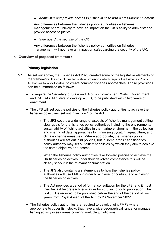● *Administer and provide access to justice in case with a cross-border element* 

Any differences between the fisheries policy authorities on fisheries management are unlikely to have an impact on the UK's ability to administer or provide access to justice.

● *Safe guard the security of the UK* 

Any differences between the fisheries policy authorities on fisheries management will not have an impact on safeguarding the security of the UK.

#### <span id="page-14-1"></span><span id="page-14-0"></span>**5. Overview of proposed framework**

#### **Primary legislation**

- 5.1 As set out above, the Fisheries Act 2020 created some of the legislative elements of the framework. It also includes legislative provisions which require the Fisheries Policy Authorities to work together to create common fisheries approaches. Those provisions can be summarized as follows:
	- To require the Secretary of State and Scottish Government, Welsh Government and DAERAs Ministers to develop a JFS, to be published within two years of enactment..
	- The JFS will set out the policies of the fisheries policy authorities to achieve the fisheries objectives, set out in section 1 of the Act.
		- $\circ$  The JFS covers a wide range of aspects of fisheries management setting clear goals for the fisheries policy authorities including the environmental sustainability of fishing activities in the marine environment, the collection and sharing of data, approaches to minimising bycatch, aquaculture, and climate change measures. Where appropriate, the fisheries policy authorities will set out joint policies, but in some areas each fisheries policy authority may set out different policies by which they aim to achieve the same objective or outcome.
		- $\circ$  When the fisheries policy authorities take forward policies to achieve the UK fisheries objectives under their devolved competence this will be clearly set-out in the relevant documentation.
		- $\circ$  The JFS also contains a statement as to how the fisheries policy authorities will use FMPs in order to achieve, or contribute to achieving, the fisheries objectives.
		- $\circ$  The Act provides a period of formal consultation for the JFS, and it must then be laid before each legislature for scrutiny, prior to publication. The first JFS is required to be published before the end of the period of two years from Royal Assent of the Act, by 23 November 2022.
	- The fisheries policy authorities are required to develop joint FMPs where appropriate to cover fish stocks that have a wide geographical range, or manage fishing activity in sea areas covering multiple jurisdictions.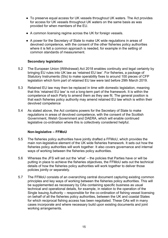- To preserve equal access for UK vessels throughout UK waters. The Act provides for access for UK vessels throughout UK waters on the same basis as was provided for when members of the EU.
- A common licensing regime across the UK for foreign vessels.
- A power for the Secretary of State to make UK wide regulations in areas of devolved competence, with the consent of the other fisheries policy authorities where it is felt a common approach is needed, for example in the setting of common standards of measurement.

#### **Secondary legislation**

- <span id="page-15-0"></span>5.2 The European Union (Withdrawal) Act 2018 enables continuity and legal certainty by bringing EU rules into UK law as 'retained EU law'. For fisheries, a package of Statutory Instruments (SIs) to make operability fixes to around 100 pieces of CFP legislation which form part of retained EU law were laid before 29th March 2019.
- 5.3 Retained EU law may then be replaced in time with domestic legislation, meaning that this 'retained EU law' is not a long-term part of the framework. It is within the competence of each Party to amend them as they see fit. The general position is that each fisheries policy authority may amend retained EU law which is within their devolved competence
- 5.4 As stated above, the Act contains powers for the Secretary of State to make regulations in areas of devolved competence, with the consent of the Scottish Government, Welsh Government and DAERA, which will enable continued legislative co-ordination where this is collectively considered helpful.

#### **Non-legislative – FFMoU**

- <span id="page-15-1"></span>5.5 The fisheries policy authorities have jointly drafted a FFMoU, which provides the main non-legislative element of the UK wide fisheries framework. It sets out how the fisheries policy authorities will work together. It also covers governance and internal ways of working between the fisheries policy authorities.
- 5.6 Whereas the JFS will set out the 'what' the policies that Parties have or will be putting in place to achieve the fisheries objectives, the FFMoU sets out the technical details of how the fisheries policy authorities will work together to deliver those policies jointly or separately.
- 5.7 The FFMoU consists of an overarching central document capturing existing common principles and key ways of working between the fisheries policy authorities. This will be supplemented as necessary by OAs containing specific business as usual technical and operational details, for example, in relation to the operation of the Single Issuing Authority – responsible for the co-ordination of fishing vessel licensing on behalf of all the fisheries policy authorities, between the UK and coastal States for which reciprocal fishing access has been negotiated. These OAs will in many cases incorporate and where necessary build upon existing documents and joint working arrangements.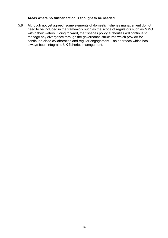#### **Areas where no further action is thought to be needed**

<span id="page-16-0"></span>5.8 Although not yet agreed, some elements of domestic fisheries management do not need to be included in the framework such as the scope of regulators such as MMO within their waters. Going forward, the fisheries policy authorities will continue to manage any divergence through the governance structures which provide for continued close collaboration and regular engagement – an approach which has always been integral to UK fisheries management.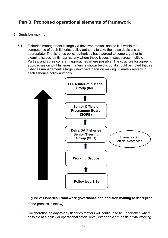### <span id="page-17-0"></span>**Part 3: Proposed operational elements of framework**

#### <span id="page-17-1"></span>**6. Decision making**

6.1 Fisheries management is largely a devolved matter, and so it is within the competence of each fisheries policy authority to take their own decisions as appropriate. The fisheries policy authorities have agreed to come together to examine issues jointly, particularly where those issues impact across multiple Parties, and agree coherent approaches where possible. The structure for agreeing approaches on joint fisheries matters is shown below, but it should be noted that as fisheries management is largely devolved, decision making ultimately rests with each fisheries policy authority.



**Figure 2: Fisheries Framework governance and decision making** (a description

of the process is below)

6.2 Collaboration on day-to-day fisheries matters will continue to be undertaken where possible at a policy or operational official level, either on a 1:1 basis or via Working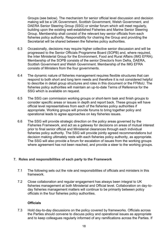Groups (see below). The mechanism for senior official level discussion and decision making will be a UK Government, Scottish Government, Welsh Government, and DAERA Senior Steering Group (SSG) or similar forum which will meet regularly, building upon the existing well-established Fisheries and Marine Senior Steering Group. Membership shall consist of the relevant key senior officials from each fisheries policy authority. Responsibility for chairing the Group and providing the Secretariat will be shared between the fisheries policy authorities.

- 6.3 Occasionally, decisions may require higher collective senior discussion and will be progressed to the Senior Officials Programme Board (SOPB) and, where required, the Inter Ministerial Group for the Environment, Food and Rural Affairs (IMG EFRA). Membership of the SOPB consists of the senior Director/s from Defra, DAERA, Scottish Government and Welsh Government. Membership of the IMG EFRA consists of Ministers from the four governments.
- 6.4 The dynamic nature of fisheries management requires flexible structures that can respond to both short and long term needs and therefore it is not considered helpful to describe in detail group structures and roles in this document or the FFMoU. The fisheries policy authorities will maintain an up-to-date Terms of Reference for the SSG which is available on request.
- 6.5 The SSG can commission working groups or short-term task and finish groups to consider specific areas or issues in depth and report back. These groups will have official level representatives from each of the fisheries policy authorities if appropriate. Working groups will provide forums to bring together policy and operational leads to agree approaches on key fisheries issues.
- 6.6 The SSG will provide strategic direction on the policy areas governed by the Fisheries Framework, and act as a gateway for decisions on areas of mutual interest prior to final senior official and Ministerial clearances through each individual fisheries policy authority. The SSG will provide jointly agreed recommendations but decision making ultimately rests with each fisheries policy authority, as appropriate. The SSG will also provide a forum for escalation of issues from the working groups where agreement has not been reached, and provide a steer to the working groups.

#### <span id="page-18-0"></span>**7. Roles and responsibilities of each party to the Framework**

- 7.1 The following sets out the role and responsibilities of officials and ministers in this framework.
- 7.2 Close collaboration and regular engagement has always been integral to UK fisheries management at both Ministerial and Official level. Collaboration on day-today fisheries management matters will continue to be primarily between policy officials in the four fisheries policy authorities.

#### **Officials**

<span id="page-18-1"></span>7.3 Hold day-to-day discussions on the policy covered by frameworks. Officials across the Parties should convene to discuss policy and operational issues as appropriate and to keep colleagues regularly informed of any ramifications across the Parties. If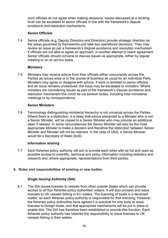such officials do not agree when making decisions, issues discussed at a working level can be escalated to senior officials in line with the framework's dispute avoidance and resolution mechanisms.

#### **Senior Officials**

<span id="page-19-0"></span>7.4 Senior officials (e.g. Deputy Directors and Directors) provide strategic direction on the areas governed by frameworks and take key operational decisions. They may review an issue as per a framework's dispute avoidance and resolution mechanism if officials are not able to agree an approach, in another attempt to reach agreement. Senior officials should convene to discuss issues as appropriate, either by regular meeting or on an ad hoc basis.

#### **Ministers**

<span id="page-19-1"></span>7.5 Ministers may receive advice from their officials either concurrently across the Parties as issues arise or in the course of business as usual for an individual Party. Ministers may agree or disagree with advice. If work is remitted to senior officials and an issue remains unresolved, the issue may be escalated to ministers. Where ministers are considering issues as part of the framework's dispute avoidance and resolution mechanism this could be via several routes, including inter-ministerial meetings or by correspondence.

#### **Senior Ministers**

<span id="page-19-2"></span>7.6 Terminology distinguishing ministerial hierarchy is not universal across the Parties. Where there is a distinction, it is likely that advice presented to a Minister who is not a Senior Minister, will be copied to a Senior Minister who may provide an additional steer if needed. In some circumstances the Senior Minister will also be the most appropriate Minister to make a decision and therefore the distinction between Senior Minister and Minister will not be relevant. In the case of UKG, a Senior Minister would be a Secretary of State (SoS).

#### **Information sharing**

<span id="page-19-3"></span>7.7 Each fisheries policy authority will aim to provide each other with as full and open as possible access to scientific, technical and policy information including statistics and research and, where appropriate, representations from third parties.

#### <span id="page-19-5"></span><span id="page-19-4"></span>**8. Roles and responsibilities of existing or new bodies**

#### **Single Issuing Authority (SIA)**

8.1 The SIA issues licenses to vessels from other coastal States which can provide access to all four fisheries policy authorities' waters. It will also process and issue licenses to UK vessels fishing in EU waters. The licensing of boats is a devolved matter, so each fisheries policy authority is responsible for that licensing. However, the fisheries policy authorities have agreed it is practical for one body to issue licenses to foreign boats, and that appropriate mechanisms will be put in place to enable this. The SIA has therefore been established to provide this function. Each fisheries policy authority has retained the responsibility to issue licenses to UK vessels fishing in their waters.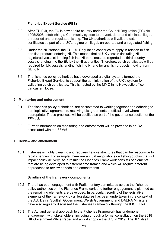#### **Fisheries Export Service (FES)**

- <span id="page-20-0"></span>8.2 After EU Exit, the EU is now a third country under the Council Regulation (EC) No 1005/2008 establishing a Community system to prevent, deter and eliminate illegal, unreported and unregulated fishing. The UK authorities will validate catch certificates as part of the UK's regime on illegal, unreported and unregulated fishing.
- 8.3 Under the NI Protocol the EU IUU Regulation continues to apply in relation to fish and fish products entering NI. This means that all UK vessels (including NI registered vessels) landing fish into NI ports must be regarded as third country vessels landing into the EU by the NI authorities. Therefore, catch certificates will be required for UK vessels landing fish into NI and for any fish products moving from GB to NI.
- 8.4 The fisheries policy authorities have developed a digital system, termed the Fisheries Export Service, to support the administration of the UK's system for validating catch certificates. This is hosted by the MMO in its Newcastle office, Lancaster House.

#### <span id="page-20-1"></span>**9. Monitoring and enforcement**

- 9.1 The fisheries policy authorities are accustomed to working together and adhering to non-legislative agreements, resolving disagreements at official level where appropriate. These practices will be codified as part of the governance section of the FFMoU.
- 9.2 Further information on monitoring and enforcement will be provided in an OA associated with the FFMoU.

#### <span id="page-20-2"></span>**10.Review and amendment**

10.1 Fisheries is highly dynamic and requires flexible structures that can be responsive to rapid changes. For example, there are annual negotiations on fishing quotas that will impact policy delivery. As a result, the Fisheries Framework consists of elements that are being developed to different time frames and which will require different approaches to review periods and amendments.

#### **Scrutiny of the framework components**

- <span id="page-20-3"></span>10.2 There has been engagement with Parliamentary committees across the fisheries policy authorities on the Fisheries Framework and further engagement is planned as the remaining elements are developed. In particular, scrutiny of the legislative elements of the framework by all legislatures has been undertaken in the context of the Act. Defra, Scottish Government, Welsh Government, and DAERA Ministers have also regularly discussed the Fisheries Framework through the IMG EFRA.
- 10.3 The Act and general approach to the Fisheries Framework has undergone engagement with stakeholders, including through a formal consultation on the 2018 UK Government White Paper and a workshop on the JFS in 2019. The JFS itself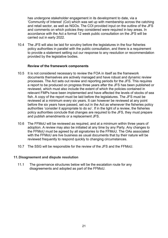has undergone stakeholder engagement in its development to date, via a 'Community of Interest' (CoI) which was set up with membership across the catching and retail sector, as well as NGOs. The COI provided input on the outline of the JFS and comments on which policies they considered were required in key areas. In accordance with the Act a formal 12 week public consultation on the JFS will be carried out in early 2022.

10.4 The JFS will also be laid for scrutiny before the legislatures in the four fisheries policy authorities in parallel with the public consultation, and there is a requirement to provide a statement setting out our response to any resolution or recommendation provided by the legislative bodies.

#### **Review of the framework components**

- <span id="page-21-0"></span>10.5 It is not considered necessary to review the FOA in itself as the framework documents themselves are actively managed and have robust and dynamic review processes. The Act sets out review and reporting periods for the JFS. This requires a report to be produced on progress three years after the JFS has been published or reviewed, which must also include the extent of which the policies contained in relevant FMPs have been implemented and have affected the levels of stocks of sea fish. A copy of the report must be laid before the legislatures. The JFS must be reviewed at a minimum every six years. It can however be reviewed at any point before the six years have passed, set out in the Act as whenever the fisheries policy authorities 'consider it appropriate to do so'. If in the light of a review, the fisheries policy authorities conclude that changes are required to the JFS, they must prepare and publish amendments or a replacement JFS.
- 10.6 The FFMoU will be reviewed as required, and at a minimum within three years of adoption. A review may also be initiated at any time by any Party. Any changes to the FFMoU must be agreed by all signatories to the FFMoU. The OAs associated with the FFMoU are live business as usual documents that by their nature will be reviewed frequently to respond quickly to changing circumstances.
- 10.7 The SSG will be responsible for the review of the JFS and the FFMoU.

#### <span id="page-21-1"></span>**11. Disagreement and dispute resolution**

11.1 The governance structures below will be the escalation route for any disagreements and adopted as part of the FFMoU.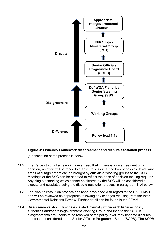

#### **Figure 3: Fisheries Framework disagreement and dispute escalation process**

(a description of the process is below)

- 11.2 The Parties to this framework have agreed that if there is a disagreement on a decision, an effort will be made to resolve this issue at the lowest possible level. Any areas of disagreement can be brought by officials or working groups to the SSG. Meetings of the SSG can be adapted to reflect the pace of decision making required. Anything outstanding which cannot be cleared by the SSG will be considered a dispute and escalated using the dispute resolution process in paragraph 11.4 below.
- 11.3 The dispute resolution process has been developed with regard to the UK FFMoU and will be reviewed as appropriate following any changes resulting from the Inter-Governmental Relations Review. Further detail can be found in the FFMoU.
- 11.4 Disagreements should first be escalated internally within each fisheries policy authorities and/or cross-government Working Group and then to the SSG. If disagreements are unable to be resolved at the policy level, they become disputes and can be considered at the Senior Officials Programme Board (SOPB). The SOPB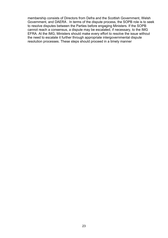membership consists of Directors from Defra and the Scottish Government, Welsh Government, and DAERA . In terms of the dispute process, the SOPB role is to seek to resolve disputes between the Parties before engaging Ministers. If the SOPB cannot reach a consensus, a dispute may be escalated, if necessary, to the IMG EFRA. At the IMG, Ministers should make every effort to resolve the issue without the need to escalate it further through appropriate intergovernmental dispute resolution processes. These steps should proceed in a timely manner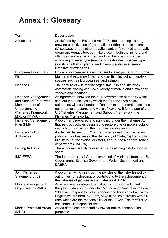# <span id="page-24-0"></span>**Annex 1: Glossary**

| <b>Term</b>                                                                                                                     | <b>Description</b>                                                                                                                                                                                                                                                                                                                                                                                                                                                                          |
|---------------------------------------------------------------------------------------------------------------------------------|---------------------------------------------------------------------------------------------------------------------------------------------------------------------------------------------------------------------------------------------------------------------------------------------------------------------------------------------------------------------------------------------------------------------------------------------------------------------------------------------|
| Aquaculture                                                                                                                     | As defined by the Fisheries Act 2020: the breeding, rearing,<br>growing or cultivation of (a) any fish or other aquatic animal,<br>(b) seaweed or any other aquatic plant, or (c) any other aquatic<br>organism. Aquaculture can take place in both the inshore and<br>offshore marine environment and can be broadly grouped<br>according to water type (marine or freshwater), species type<br>(finfish, shellfish or plants) and intensity (intensive, semi-<br>intensive or extensive). |
| European Union (EU)                                                                                                             | Union of 27 member states that are located primarily in Europe.                                                                                                                                                                                                                                                                                                                                                                                                                             |
| Fish                                                                                                                            | Marine and estuarine finfish and shellfish, including migratory<br>species such as European eel and salmon.                                                                                                                                                                                                                                                                                                                                                                                 |
| <b>Fisheries</b>                                                                                                                | The capture of wild marine organisms (fish and shellfish);<br>commercial fishing can use a variety of mobile and static gear,<br>vessels and locations.                                                                                                                                                                                                                                                                                                                                     |
| <b>Fisheries Management</b><br>and Support Framework<br>Memorandum of<br>Understanding<br>(Fisheries Framework<br>MoU or FFMoU) | An agreement between the four governments of the UK which<br>sets out the principles by which the four fisheries policy<br>authorities will collaborate on fisheries management. It includes<br>governance structures and ways of working. It forms part of the<br>UK Fisheries Management and Support Framework (the<br>Fisheries Framework).                                                                                                                                              |
| <b>Fisheries Management</b><br>Plan (FMP)                                                                                       | A document, prepared and published under the Fisheries Act<br>that sets out policies designed to restore one or more stocks of<br>sea fish to, or maintain them at, sustainable levels.                                                                                                                                                                                                                                                                                                     |
| <b>Fisheries Policy</b><br><b>Authorities</b>                                                                                   | As defined by section 52 of the Fisheries Act 2020, fisheries<br>policy authorities are (a) the Secretary of State, (b) the Scottish<br>Ministers, (c) the Welsh Ministers, and (d) the Northern Ireland<br>department (DAERA).                                                                                                                                                                                                                                                             |
| <b>Fishing Industry</b>                                                                                                         | The economic activity concerned with catching fish for food or<br>sport.                                                                                                                                                                                                                                                                                                                                                                                                                    |
| <b>IMG EFRA</b>                                                                                                                 | The Inter-ministerial Group comprised of Ministers from the UK<br>Government, Scottish Government, Welsh Government and<br>DAERA.                                                                                                                                                                                                                                                                                                                                                           |
| <b>Joint Fisheries</b><br>Statement (JFS)                                                                                       | A document which sets out the policies of the fisheries policy<br>authorities for achieving, or contributing to the achievement of,<br>the fisheries objectives in the Fisheries Act 2020.                                                                                                                                                                                                                                                                                                  |
| Marine Management<br>Organisation (MMO)                                                                                         | An executive non-departmental public body in the United<br>Kingdom established under the Marine and Coastal Access Act<br>2009, with responsibility for planning and licensing of activities in<br>English waters from 0-200nm, save fisheries activities within 0-<br>6nm which are the responsibility of the IFCAs. The MMO also<br>has some UK responsibilities.                                                                                                                         |
| <b>Marine Protected Areas</b><br>(MPA)                                                                                          | Areas of the sea protected by law for nature conservation<br>purposes.                                                                                                                                                                                                                                                                                                                                                                                                                      |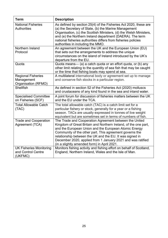| <b>Term</b>                                                     | <b>Description</b>                                                                                                                                                                                                                                                                                                                                                                                                      |
|-----------------------------------------------------------------|-------------------------------------------------------------------------------------------------------------------------------------------------------------------------------------------------------------------------------------------------------------------------------------------------------------------------------------------------------------------------------------------------------------------------|
| <b>National Fisheries</b><br><b>Authorities</b>                 | As defined by section 25(4) of the Fisheries Act 2020, these are<br>(a) the Secretary of State, (b) the Marine Management<br>Organisation, (c) the Scottish Ministers, (d) the Welsh Ministers,<br>and (e) the Northern Ireland department (DAERA). The term<br>national fisheries authorities differs from fisheries policies<br>authorities in including the MMO.                                                     |
| Northern Ireland<br>Protocol                                    | An agreement between the UK and the European Union (EU)<br>that sets out the arrangements to address the unique<br>circumstances on the island of Ireland introduced by the UK's<br>departure from the EU.                                                                                                                                                                                                              |
| Quota                                                           | Quota means— (a) a catch quota or an effort quota, or (b) any<br>other limit relating to the quantity of sea fish that may be caught<br>or the time that fishing boats may spend at sea.                                                                                                                                                                                                                                |
| <b>Regional Fisheries</b><br>Management<br>Organisation (RFMO)  | A multilateral international body or agreement set up to manage<br>and conserve fish stocks in a particular region.                                                                                                                                                                                                                                                                                                     |
| <b>Shellfish</b>                                                | As defined in section 52 of the Fisheries Act (2020) molluscs<br>and crustaceans of any kind found in the sea and inland water.                                                                                                                                                                                                                                                                                         |
| <b>Specialised Committee</b><br>on Fisheries (SCF)              | A joint forum for discussion of fisheries matters between the UK<br>and the EU under the TCA.                                                                                                                                                                                                                                                                                                                           |
| <b>Total Allowable Catch</b><br>(TAC)                           | The total allowable catch (TAC) is a catch limit set for a<br>particular fishery or stock, generally for a year or a fishing<br>season. TACs are usually expressed in tonnes of live weight<br>equivalent but are sometimes set in terms of numbers of fish.                                                                                                                                                            |
| <b>Trade and Cooperation</b><br>Agreement (TCA)                 | The Trade and Cooperation Agreement between the United<br>Kingdom of Great Britain and Northern Ireland, of the one part,<br>and the European Union and the European Atomic Energy<br>Community of the other part. This agreement governs the<br>relationship between the UK and the EU. It was signed in<br>December 2020, applied from 1 January 2021 and was ratified<br>(in a slightly amended form) in April 2021. |
| <b>UK Fisheries Monitoring</b><br>and Control Centre<br>(UKFMC) | Monitors fishing activity and fishing effort on behalf of Scotland,<br>England, Northern Ireland, Wales and the Isle of Man.                                                                                                                                                                                                                                                                                            |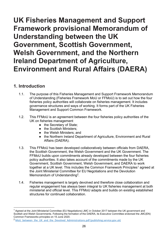# <span id="page-26-0"></span>**UK Fisheries Management and Support Framework provisional Memorandum of Understanding between the UK Government, Scottish Government, Welsh Government, and the Northern Ireland Department of Agriculture, Environment and Rural Affairs (DAERA)**

### <span id="page-26-1"></span>**1. Introduction**

- 1.1. The purpose of this Fisheries Management and Support Framework Memorandum of Understanding (Fisheries Framework MoU or FFMoU) is to set out how the four fisheries policy authorities will collaborate on fisheries management. It includes governance structures and ways of working. It forms part of the UK Fisheries Management and Support Common Framework.
- 1.2. This FFMoU is an agreement between the four fisheries policy authorities of the UK on fisheries management
	- the Secretary of State;
	- the Scottish Ministers:
	- the Welsh Ministers: and
	- the Northern Ireland Department of Agriculture, Environment and Rural Affairs (DAERA).
- 1.3. This FFMoU has been developed collaboratively between officials from DAERA, the Scottish Government, the Welsh Government and the UK Government. The FFMoU builds upon commitments already developed between the four fisheries policy authorities. It also takes account of the commitments made by the UK Government, Scottish Government, Welsh Government, and DAERA to work together at a UK level. This includes the Common Framework Principles<sup>1</sup> agreed at the Joint Ministerial Committee for EU Negotiations and the Devolution Memorandum of Understanding<sup>2</sup>.
- 1.4. Fisheries management is largely devolved and therefore close collaboration and regular engagement has always been integral to UK fisheries management at both ministerial and official level. This FFMoU adapts and builds on existing established structures for continued collaboration.

<sup>&</sup>lt;sup>1</sup> Agreed at the Joint Ministerial Committee (EU Negotiations) JMC in October 2017 between the UK government and Scottish and Welsh Governments. Following the formation of the DAERA, its Executive Committee endorsed the JMC(EN) Common Frameworks principles on 15 June 2020.

<sup>&</sup>lt;sup>2</sup> MoU between the UK and the Devolved Administrations.pdf (publishing.service.gov.uk)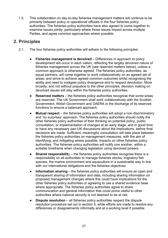1.5. This collaboration on day-to-day fisheries management matters will continue to be primarily between policy or operational officials in the four fisheries policy authorities. The fisheries policy authorities have also agreed to come together to examine issues jointly, particularly where those issues impact across multiple Parties, and agree common approaches where possible.

### <span id="page-27-0"></span>**2. Principles**

- 2.1. The four fisheries policy authorities will adhere to the following principles:
	- **Fisheries management is devolved** Differences in approach to policy development will occur in each nation, reflecting the largely devolved nature of fisheries management across the UK (see reserved matters below), unless a common approach is otherwise agreed. The fisheries policy authorities, as equal partners, will come together to work collaboratively on an agreed set of areas, and strive to achieve agreed common outcomes whilst recognising the ability and need to instigate policy divergence and to respect devolution. More broadly, and not without prejudice to the other principles, decision making on devolved issues will stay within the fisheries policy authorities.
	- **Reserved matters** the fisheries policy authorities recognise that some areas are reserved. The UK Government shall work collaboratively with the Scottish Government, Welsh Government and DAERA in the discharge of its reserved functions to ensure a balanced approach.
	- **Mutual respect** the fisheries policy authorities will adopt a non-discriminatory and 'no surprises' approach. The fisheries policy authorities should notify the other fisheries policy authorities of their thinking on potential policy, public consultation, or implementation of changes at an early stage, and in good time to have any necessary pan-UK discussions about the implications, before final decisions are made. Sufficient, meaningful consultation will take place between the fisheries policy authorities on management measures, with the aim of identifying, and mitigating where possible, impacts on other fisheries policy authorities. The fisheries policy authorities will notify one another, within a suitable timeframe when changing legislation using devolved powers.
	- **Shared responsibilit**y the fisheries policy authorities recognise there is a responsibility on all authorities to manage fisheries stocks, migratory fish species, the marine environment and aquaculture in a sustainable way in line with our international obligations and the fisheries objectives.
	- **Information sharing** the fisheries policy authorities will ensure an open and transparent sharing of information and data, including sharing information on proposed management changes where this could have implications for the other fisheries policy authorities or agreeing to use a shared evidence base where appropriate. The fisheries policy authorities agree to share communication and general information that could prove useful to other authorities where national security is not deemed to be at risk.
	- **Dispute resolution** all fisheries policy authorities respect the dispute resolution procedure set out in section 5, while efforts are made to resolve any differences or disagreements informally and at a working level if possible.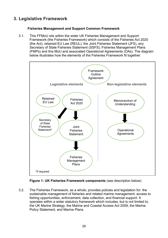# <span id="page-28-1"></span><span id="page-28-0"></span>**3. Legislative Framework**

#### **Fisheries Management and Support Common Framework**

3.1. This FFMoU sits within the wider UK Fisheries Management and Support Framework (the Fisheries Framework) which consists of the Fisheries Act 2020 (the Act), retained EU Law (REUL), the Joint Fisheries Statement (JFS), any Secretary of State Fisheries Statement (SSFS), Fisheries Management Plans (FMPs) and this MoU and associated Operational Agreements (OAs). The diagram below illustrates how the elements of the Fisheries Framework fit together:



**Figure 1: UK Fisheries Framework components** (see description below)

3.2. The Fisheries Framework, as a whole, provides policies and legislation for: the sustainable management of fisheries and related marine management, access to fishing opportunities, enforcement, data collection, and financial support. It operates within a wider statutory framework which includes, but is not limited to, the UK Marine Strategy, the Marine and Coastal Access Act 2009, the Marine Policy Statement, and Marine Plans.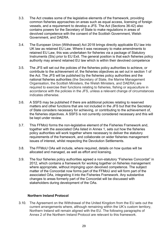- 3.3. The Act creates some of the legislative elements of the framework, providing common fisheries approaches on areas such as equal access, licensing of foreign vessels, and a requirement to develop a JFS. The Act (Sections 36-42) also contains powers for the Secretary of State to make regulations in areas of devolved competence with the consent of the Scottish Government, Welsh Government, and DAERA.
- 3.4. The European Union (Withdrawal) Act 2018 brings directly applicable EU law into UK law as retained EU Law. Where it was necessary to make amendments to retained EU Law, this was undertaken for fisheries via a package of Statutory Instruments (SIs) prior to EU Exit. The general position is that each fisheries policy authority may amend retained EU law which is within their devolved competence
- 3.5. The JFS will set out the policies of the fisheries policy authorities to achieve, or contribute to the achievement of, the fisheries objectives as set out in section 1 of the Act. The JFS will be published by the fisheries policy authorities and the national fisheries authorities (the Secretary of State, the Marine Management Organisation, the Scottish Ministers, the Welsh Ministers, and DAERA) are required to exercise their functions relating to fisheries, fishing or aquaculture in accordance with the policies in the JFS, unless a relevant change of circumstances indicates otherwise.
- 3.6. A SSFS may be published if there are additional policies relating to reserved matters and other functions that are not included in the JFS but that the Secretary of State considers necessary for achieving, or contributing to the achievement of, the fisheries objectives. A SSFS is not currently considered necessary and this will be kept under review.
- 3.7. This FFMoU forms the non-legislative element of the Fisheries Framework and, together with the associated OAs listed in Annex 1, sets out how the fisheries policy authorities will work together where necessary to deliver the statutory requirements of the framework, and collaborate on wider fisheries management issues of interest, whilst respecting the Devolution Settlements.
- 3.8. The FFMoU OAs will include, where required, details on how quotas will be allocated and managed, as well as effort and licensing.
- 3.9. The four fisheries policy authorities agreed a non-statutory "Fisheries Concordat" in 2012, which contains a framework for working together on fisheries management where appropriate, without impinging upon devolved competence. The subject matter of the Concordat now forms part of the FFMoU and will form part of the associated OAs, integrating it into the Fisheries Framework. Any substantive changes to areas formerly part of the Concordat will be discussed with stakeholders during development of the OAs.

#### **Northern Ireland Protocol**

<span id="page-29-0"></span>3.10. The Agreement on the Withdrawal of the United Kingdom from the EU sets out the current arrangements where, although remaining within the UK's custom territory, Northern Ireland will remain aligned with the EU. The following paragraphs of Annex 2 of the Northern Ireland Protocol are relevant to this framework.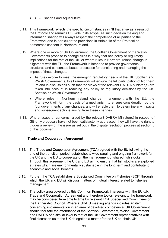- 46 Fisheries and Aquaculture
- 3.11. This Framework reflects the specific circumstances in NI that arise as a result of the Protocol and remains UK wide in its scope. As such decision making and information sharing will always respect the competence of all parties to the Framework and in particular the provisions in Article 18 of the Protocol on democratic consent in Northern Ireland.
- 3.12. Where one or more of UK Government, the Scottish Government or the Welsh Governments propose to change rules in a way that has policy or regulatory implications for the rest of the UK, or where rules in Northern Ireland change in alignment with the EU, the Framework is intended to provide governance structures and consensus-based processes for considering and managing the impact of these changes.
	- As rules evolve to meet the emerging regulatory needs of the UK, Scottish and Welsh Governments, this Framework will ensure the full participation of Northern Ireland in discussions such that the views of the relevant DAERA Minister(s) are taken into account in reaching any policy or regulatory decisions by the UK, Scottish or Welsh Governments.
	- Where rules in Northern Ireland change in alignment with the EU, the Framework will form the basis of a mechanism to ensure consideration by the four governments of any changes, and will enable them to determine any impacts and subsequent actions arising from these changes.
- 3.13. Where issues or concerns raised by the relevant DAERA Minister(s) in respect of GB-only proposals have not been satisfactorily addressed, they will have the right to trigger a review of the issue as set out in the dispute resolution process at section 5 of this document.

#### **Trade and Cooperation Agreement**

- <span id="page-30-0"></span>3.14. The Trade and Cooperation Agreement (TCA) agreed with the EU following the end of the transition period, establishes a wide ranging and ongoing framework for the UK and the EU to cooperate on the management of shared fish stocks. Through this agreement the UK and EU aim to ensure that fish stocks are exploited at rates which are environmentally sustainable in the long term and contribute to economic and social benefits.
- 3.15. Further, the TCA establishes a Specialised Committee on Fisheries (SCF) through which the UK and EU will discuss matters of mutual interest related to fisheries management.
- 3.16. The policy area covered by this Common Framework intersects with the EU-UK Trade and Cooperation Agreement and therefore topics relevant to the framework may be considered from time to time by relevant TCA Specialised Committees or the Partnership Council. Where a UK-EU meeting agenda includes an item concerning implementation in an area of devolved competence, UK Government should facilitate the attendance of the Scottish Government, Welsh Government and DAERA of a similar level to that of the UK Government representatives with final discretion as to the UK delegation a matter for the UK co-chair. UK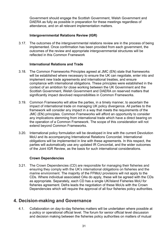Government should engage the Scottish Government, Welsh Government and DAERA as fully as possible in preparation for these meetings regardless of attendance, and on all relevant implementation matters.

#### **Intergovernmental Relations Review (IGR)**

<span id="page-31-0"></span>3.17. The outcomes of the intergovernmental relations review are in the process of being implemented. Once confirmation has been provided from each government, the outcomes of the review and appropriate intergovernmental structures will be reflected in this Common Framework

#### **International Relations and Trade**

- <span id="page-31-1"></span>3.18. The Common Frameworks Principles agreed at JMC (EN) state that frameworks will be established where necessary to ensure the UK can negotiate, enter into and implement new trade agreements and international treaties, and ensure compliance with international obligations. These principles were established in the context of an ambition for close working between the UK Government and the Scottish Government, Welsh Government and DAERA on reserved matters that significantly impact devolved responsibilities in Common Frameworks.
- 3.19. Common Frameworks will allow the parties, in a timely manner, to ascertain the impact of international trade on managing UK policy divergence. All parties to the framework will consider any impact in a way that meets the requirements of the JMC (EN) principles. Common Frameworks will afford an opportunity to consider any implications stemming from international trade which have a direct bearing on the operation of a Common Framework. The scope of this consideration will not extend beyond Common Frameworks.
- 3.20. International policy formulation will be developed in line with the current Devolution MoU and its accompanying International Relations Concordat. International obligations will be implemented in line with these agreements. In this respect, the parties will automatically use any updated IR Concordat, and the wider outcomes of the Joint IGR Review, as the basis for such international considerations.

#### **Crown Dependencies**

<span id="page-31-2"></span>3.21. The Crown Dependencies (CD) are responsible for managing their fisheries and ensuring they comply with the UK's international obligations on fisheries and the marine environment. The majority of the FFMoU provisions will not apply to the CDs. Where individual associated OAs do apply, these will be agreed with the CDs as appropriate. Separately, each CD has a single UK/Island Fisheries MoU for fisheries agreement. Defra leads the negotiation of these MoUs with the Crown Dependencies which will require the approval of all four fisheries policy authorities.

### <span id="page-31-3"></span>**4. Decision-making and Governance**

4.1. Collaboration on day-to-day fisheries matters will be undertaken where possible at a policy or operational official level. The forum for senior official level discussion and decision making between the fisheries policy authorities on matters of mutual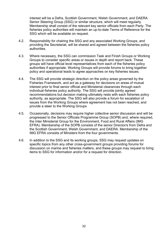interest will be a Defra, Scottish Government, Welsh Government, and DAERA Senior Steering Group (SSG) or similar structure, which will meet regularly. Membership shall consist of the relevant key senior officials from each Party. The fisheries policy authorities will maintain an up-to-date Terms of Reference for the SSG which will be available on request.

- 4.2. Responsibility for chairing the SSG and any associated Working Groups, and providing the Secretariat, will be shared and agreed between the fisheries policy authorities.
- 4.3. Where necessary, the SSG can commission Task and Finish Groups or Working Groups to consider specific areas or issues in depth and report back. These groups will have official level representatives from each of the fisheries policy authorities if appropriate. Working Groups will provide forums to bring together policy and operational leads to agree approaches on key fisheries issues.
- 4.4. The SSG will provide strategic direction on the policy areas governed by the Fisheries Framework, and act as a gateway for decisions on areas of mutual interest prior to final senior official and Ministerial clearances through each individual fisheries policy authority. The SSG will provide jointly agreed recommendations but decision making ultimately rests with each fisheries policy authority, as appropriate. The SSG will also provide a forum for escalation of issues from the Working Groups where agreement has not been reached, and provide a steer to the Working Groups
- 4.5. Occasionally, decisions may require higher collective senior discussion and will be progressed to the Senior Officials Programme Group (SOPB) and, where required, the Inter Ministerial Group for the Environment, Food and Rural Affairs (IMG EFRA). Membership of the SOPB consists of the senior Director/s from Defra and the Scottish Government, Welsh Government, and DAERA. Membership of the IMG EFRA consists of Ministers from the four governments.
- 4.6. In addition to the SSG and its working groups, SSG may request updates on specific topics from any other cross-government groups providing forums for discussion on marine and fisheries matters, and these groups may request to bring items to SSG for information and/or for a request for direction.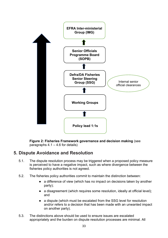

**Figure 2: Fisheries Framework governance and decision making** (see paragraphs  $4.1 - 4.6$  for details)

### <span id="page-33-0"></span>**5. Dispute Avoidance and Resolution**

- 5.1. The dispute resolution process may be triggered when a proposed policy measure is perceived to have a negative impact, such as where divergence between the fisheries policy authorities is not agreed.
- 5.2. The fisheries policy authorities commit to maintain the distinction between:
	- a difference of view (which has no impact on decisions taken by another party);
	- a disagreement (which requires some resolution, ideally at official level); and
	- a dispute (which must be escalated from the SSG level for resolution and/or refers to a decision that has been made with an unwanted impact on another party).
- 5.3. The distinctions above should be used to ensure issues are escalated appropriately and the burden on dispute resolution processes are minimal. All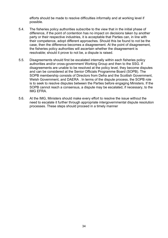efforts should be made to resolve difficulties informally and at working level if possible.

- 5.4. The fisheries policy authorities subscribe to the view that in the initial phase of difference, if the point of contention has no impact on decisions taken by another party or their respective industries, it is acceptable that Parties can, in line with their competence, adopt different approaches. Should this be found to not be the case, then the difference becomes a disagreement. At the point of disagreement, the fisheries policy authorities will ascertain whether the disagreement is resolvable; should it prove to not be, a dispute is raised.
- 5.5. Disagreements should first be escalated internally within each fisheries policy authorities and/or cross-government Working Group and then to the SSG. If disagreements are unable to be resolved at the policy level, they become disputes and can be considered at the Senior Officials Programme Board (SOPB). The SOPB membership consists of Directors from Defra and the Scottish Government, Welsh Government, and DAERA . In terms of the dispute process, the SOPB role is to seek to resolve disputes between the Parties before engaging Ministers. If the SOPB cannot reach a consensus, a dispute may be escalated, if necessary, to the IMG EFRA.
- 5.6. At the IMG, Ministers should make every effort to resolve the issue without the need to escalate it further through appropriate intergovernmental dispute resolution processes. These steps should proceed in a timely manner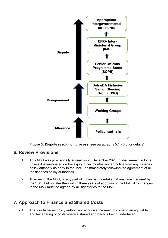



### <span id="page-35-0"></span>**6. Review Provisions**

- 6.1. This MoU was provisionally agreed on 23 December 2020. It shall remain in force unless it is terminated on the expiry of six months written notice from any fisheries policy authority as party to the MoU, or immediately following the agreement of all the fisheries policy authorities.
- 6.2. A review of the MoU, or any part of it, can be undertaken at any time if agreed by the SSG, but no later than within three years of adoption of the MoU. Any changes to the MoU must be agreed by all signatories to the MoU.

# <span id="page-35-1"></span>**7. Approach to Finance and Shared Costs**

7.1. The four fisheries policy authorities recognise the need to come to an equitable and fair sharing of costs where a shared approach is being undertaken,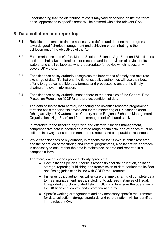understanding that the distribution of costs may vary depending on the matter at hand. Approaches to specific areas will be covered within the relevant OAs.

### <span id="page-36-0"></span>**8. Data collation and reporting**

- 8.1. Reliable and complete data is necessary to define and demonstrate progress towards good fisheries management and achieving or contributing to the achievement of the objectives of the Act.
- 8.2. Each marine institute (Cefas, Marine Scotland Science, Agri-Food and Biosciences Institute) shall take the lead role for research and the provision of advice for its waters, and shall collaborate where appropriate for advice which necessarily covers UK waters.
- 8.3. Each fisheries policy authority recognises the importance of timely and accurate exchange of data. To that end the fisheries policy authorities will use their best efforts to agree compatible data formats and processes to ensure the timely sharing of relevant information.
- 8.4. Each fisheries policy authority must adhere to the principles of the General Data Protection Regulation (GDPR) and protect confidential data.
- 8.5. The data collected from control, monitoring and scientific research programmes form the basis for scientific advice and for the monitoring of UK fisheries (both fishing activity in UK waters, third Country and in Regional Fisheries Management Organisations/High Seas) and for the management of shared stocks.
- 8.6. In reference to the fisheries objectives and effective fisheries management, comprehensive data is needed on a wide range of subjects, and evidence must be collated in a way that supports transparent, robust and comparable assessment.
- 8.7. While each fisheries policy authority is responsible for its own scientific research and the operation of monitoring and control programmes, a collaborative approach is necessary to ensure that the data is maintained, shared and reported in a compatible form.
- 8.8. Therefore, each fisheries policy authority agrees that:
	- Each fisheries policy authority is responsible for the collection, collation, storage, reporting/publishing and transmission of data pertinent to its fleet and fishing jurisdiction in line with GDPR requirements.
	- Fisheries policy authorities will ensure the timely sharing of complete data to meet management needs, including, to address instances of Illegal, Unreported and Unregulated fishing (IUU), and to ensure the operation of the UK licensing, control and enforcement regime.
	- Specific working arrangements and any necessary specific requirements for data collection, storage standards and co-ordination, will be identified in the relevant OA.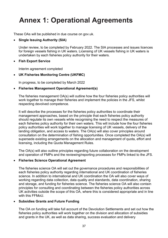# <span id="page-37-0"></span>**Annex 1: Operational Agreements**

These OAs will be published in due course on gov.uk.

#### <span id="page-37-1"></span>• **Single Issuing Authority (SIA)**

Under review, to be completed by February 2022. The SIA processes and issues licences for foreign vessels fishing in UK waters. Licensing of UK vessels fishing in UK waters is undertaken by each fisheries policy authority for their waters.

#### <span id="page-37-2"></span>• **Fish Export Service**

Interim agreement completed

#### <span id="page-37-3"></span>• **UK Fisheries Monitoring Centre (UKFMC)**

In progress, to be completed by March 2022

#### <span id="page-37-4"></span>• **Fisheries Management Operational Agreement(s)**

The fisheries management OA(s) will outline how the four fisheries policy authorities will work together to manage their fisheries and implement the policies in the JFS, whilst respecting devolved competence.

It will describe the processes for the fisheries policy authorities to coordinate their management approaches, based on the principle that each fisheries policy authority should regulate its own vessels while recognising the need to respect the measures of each fisheries policy authority for their own waters. This will include how the four fisheries policy authorities will work together to manage licensing of UK vessels, delivery of the landing obligation, and access to waters. The OA(s) will also cover principles around consultation on the determination of fishing opportunities. Once completed the OA(s) will supersede existing arrangements on the allocation and management of quota, effort and licensing, including the Quota Management Rules.

The OA(s) will also outline principles regarding future collaboration on the development and operation of FMPs and the reviewing/reporting processes for FMPs linked to the JFS.

#### <span id="page-37-5"></span>• **Fisheries Science Operational Agreement**

The fisheries science OA will set out the governance procedures and responsibilities of each fisheries policy authority regarding international and UK coordination of fisheries science. In addition to international and UK coordination the OA will also cover ways of working regarding data collection, data quality and standards, data coordination, sharing and storage, and funding for fisheries science. The fisheries science OA will also contain principles for consulting and coordinating between the fisheries policy authorities across UK activities outside the scope of this OA, where this is considered appropriate and in line with this FFMoU.

#### <span id="page-37-6"></span>• **Subsidies Grants and Future Funding**

The OA on funding will take full account of the Devolution Settlements and set out how the fisheries policy authorities will work together on the division and allocation of subsidies and grants in the UK, as well as data sharing, success evaluation and delivery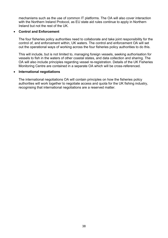mechanisms such as the use of common IT platforms. The OA will also cover interaction with the Northern Ireland Protocol, as EU state aid rules continue to apply in Northern Ireland but not the rest of the UK.

#### <span id="page-38-0"></span>• **Control and Enforcement**

The four fisheries policy authorities need to collaborate and take joint responsibility for the control of, and enforcement within, UK waters. The control and enforcement OA will set out the operational ways of working across the four fisheries policy authorities to do this.

This will include, but is not limited to, managing foreign vessels, seeking authorisation for vessels to fish in the waters of other coastal states, and data collection and sharing. The OA will also include principles regarding vessel re-registration. Details of the UK Fisheries Monitoring Centre are contained in a separate OA which will be cross-referenced.

#### <span id="page-38-1"></span>• **International negotiations**

The international negotiations OA will contain principles on how the fisheries policy authorities will work together to negotiate access and quota for the UK fishing industry, recognising that international negotiations are a reserved matter.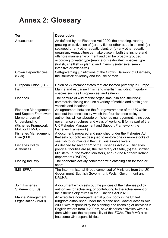# <span id="page-39-0"></span>**Annex 2: Glossary**

| <b>Term</b>                                                                                                                     | <b>Description</b>                                                                                                                                                                                                                                                                                                                                                                                                                                                                          |
|---------------------------------------------------------------------------------------------------------------------------------|---------------------------------------------------------------------------------------------------------------------------------------------------------------------------------------------------------------------------------------------------------------------------------------------------------------------------------------------------------------------------------------------------------------------------------------------------------------------------------------------|
| Aquaculture                                                                                                                     | As defined by the Fisheries Act 2020: the breeding, rearing,<br>growing or cultivation of (a) any fish or other aquatic animal, (b)<br>seaweed or any other aquatic plant, or (c) any other aquatic<br>organism. Aquaculture can take place in both the inshore and<br>offshore marine environment and can be broadly grouped<br>according to water type (marine or freshwater), species type<br>(finfish, shellfish or plants) and intensity (intensive, semi-<br>intensive or extensive). |
| <b>Crown Dependencies</b><br>(CDs)                                                                                              | Self-governing jurisdictions of the Crown; Bailiwick of Guernsey,<br>the Bailiwick of Jersey and the Isle of Man.                                                                                                                                                                                                                                                                                                                                                                           |
| European Union (EU)                                                                                                             | Union of 27 member states that are located primarily in Europe.                                                                                                                                                                                                                                                                                                                                                                                                                             |
| Fish                                                                                                                            | Marine and estuarine finfish and shellfish, including migratory<br>species such as European eel and salmon.                                                                                                                                                                                                                                                                                                                                                                                 |
| <b>Fisheries</b>                                                                                                                | The capture of wild marine organisms (fish and shellfish);<br>commercial fishing can use a variety of mobile and static gear,<br>vessels and locations.                                                                                                                                                                                                                                                                                                                                     |
| <b>Fisheries Management</b><br>and Support Framework<br>Memorandum of<br>Understanding<br>(Fisheries Framework<br>MoU or FFMoU) | An agreement between the four governments of the UK which<br>sets out the principles by which the four fisheries policy<br>authorities will collaborate on fisheries management. It includes<br>governance structures and ways of working. It forms part of the<br>UK Fisheries Management and Support Framework (the<br>Fisheries Framework).                                                                                                                                              |
| <b>Fisheries Management</b><br>Plan (FMP)                                                                                       | A document, prepared and published under the Fisheries Act<br>that sets out policies designed to restore one or more stocks of<br>sea fish to, or maintain them at, sustainable levels.                                                                                                                                                                                                                                                                                                     |
| <b>Fisheries Policy</b><br>Authorities                                                                                          | As defined by section 52 of the Fisheries Act 2020, fisheries<br>policy authorities are (a) the Secretary of State, (b) the Scottish<br>Ministers, (c) the Welsh Ministers, and (d) the Northern Ireland<br>department (DAERA).                                                                                                                                                                                                                                                             |
| <b>Fishing Industry</b>                                                                                                         | The economic activity concerned with catching fish for food or<br>sport.                                                                                                                                                                                                                                                                                                                                                                                                                    |
| <b>IMG EFRA</b>                                                                                                                 | The Inter-ministerial Group comprised of Ministers from the UK<br>Government, Scottish Government, Welsh Government and<br>DAERA.                                                                                                                                                                                                                                                                                                                                                           |
| <b>Joint Fisheries</b><br>Statement (JFS)                                                                                       | A document which sets out the policies of the fisheries policy<br>authorities for achieving, or contributing to the achievement of,<br>the fisheries objectives in the Fisheries Act 2020.                                                                                                                                                                                                                                                                                                  |
| <b>Marine Management</b><br>Organisation (MMO)                                                                                  | An executive non-departmental public body in the United<br>Kingdom established under the Marine and Coastal Access Act<br>2009, with responsibility for planning and licensing of activities in<br>English waters from 0-200nm, save fisheries activities within 0-<br>6nm which are the responsibility of the IFCAs. The MMO also<br>has some UK responsibilities.                                                                                                                         |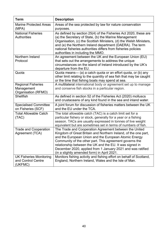| <b>Term</b>                                                     | <b>Description</b>                                                                                                                                                                                                                                                                                                                                                                                                      |
|-----------------------------------------------------------------|-------------------------------------------------------------------------------------------------------------------------------------------------------------------------------------------------------------------------------------------------------------------------------------------------------------------------------------------------------------------------------------------------------------------------|
| <b>Marine Protected Areas</b><br>(MPA)                          | Areas of the sea protected by law for nature conservation<br>purposes.                                                                                                                                                                                                                                                                                                                                                  |
| <b>National Fisheries</b><br><b>Authorities</b>                 | As defined by section 25(4) of the Fisheries Act 2020, these are<br>(a) the Secretary of State, (b) the Marine Management<br>Organisation, (c) the Scottish Ministers, (d) the Welsh Ministers,<br>and (e) the Northern Ireland department (DAERA). The term<br>national fisheries authorities differs from fisheries policies<br>authorities in including the MMO.                                                     |
| Northern Ireland<br>Protocol                                    | An agreement between the UK and the European Union (EU)<br>that sets out the arrangements to address the unique<br>circumstances on the island of Ireland introduced by the UK's<br>departure from the EU.                                                                                                                                                                                                              |
| Quota                                                           | Quota means- (a) a catch quota or an effort quota, or (b) any<br>other limit relating to the quantity of sea fish that may be caught<br>or the time that fishing boats may spend at sea.                                                                                                                                                                                                                                |
| <b>Regional Fisheries</b><br>Management<br>Organisation (RFMO)  | A multilateral international body or agreement set up to manage<br>and conserve fish stocks in a particular region.                                                                                                                                                                                                                                                                                                     |
| <b>Shellfish</b>                                                | As defined in section 52 of the Fisheries Act (2020) molluscs<br>and crustaceans of any kind found in the sea and inland water.                                                                                                                                                                                                                                                                                         |
| <b>Specialised Committee</b><br>on Fisheries (SCF)              | A joint forum for discussion of fisheries matters between the UK<br>and the EU under the TCA.                                                                                                                                                                                                                                                                                                                           |
| <b>Total Allowable Catch</b><br>(TAC)                           | The total allowable catch (TAC) is a catch limit set for a<br>particular fishery or stock, generally for a year or a fishing<br>season. TACs are usually expressed in tonnes of live weight<br>equivalent but are sometimes set in terms of numbers of fish.                                                                                                                                                            |
| <b>Trade and Cooperation</b><br>Agreement (TCA)                 | The Trade and Cooperation Agreement between the United<br>Kingdom of Great Britain and Northern Ireland, of the one part,<br>and the European Union and the European Atomic Energy<br>Community of the other part. This agreement governs the<br>relationship between the UK and the EU. It was signed in<br>December 2020, applied from 1 January 2021 and was ratified<br>(in a slightly amended form) in April 2021. |
| <b>UK Fisheries Monitoring</b><br>and Control Centre<br>(UKFMC) | Monitors fishing activity and fishing effort on behalf of Scotland,<br>England, Northern Ireland, Wales and the Isle of Man.                                                                                                                                                                                                                                                                                            |